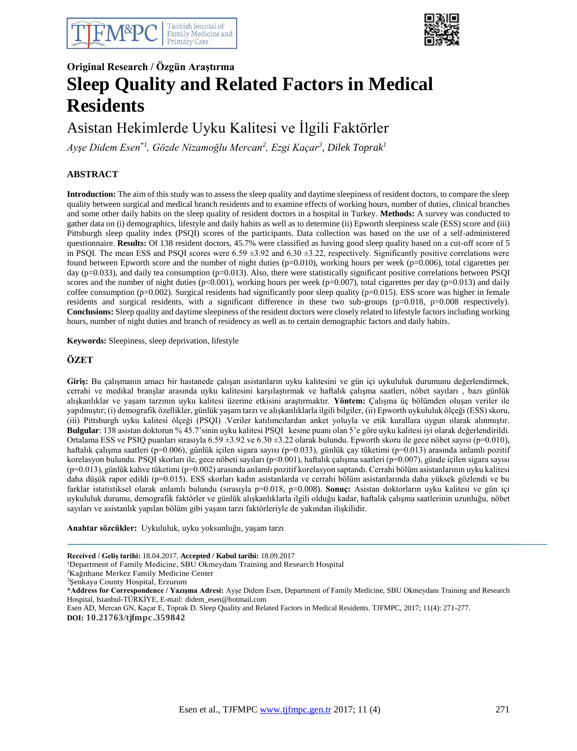



# **Original Research / Özgün Araştırma Sleep Quality and Related Factors in Medical Residents**

Asistan Hekimlerde Uyku Kalitesi ve İlgili Faktörler

*Ayşe Didem Esen\*1, Gözde Nizamoğlu Mercan<sup>2</sup> , Ezgi Kaçar<sup>3</sup> , Dilek Toprak<sup>1</sup>*

# **ABSTRACT**

**Introduction:** The aim of this study was to assess the sleep quality and daytime sleepiness of resident doctors, to compare the sleep quality between surgical and medical branch residents and to examine effects of working hours, number of duties, clinical branches and some other daily habits on the sleep quality of resident doctors in a hospital in Turkey. **Methods:** A survey was conducted to gather data on (i) demographics, lifestyle and daily habits as well as to determine (ii) Epworth sleepiness scale (ESS) score and (iii) Pittsburgh sleep quality index (PSQI) scores of the participants. Data collection was based on the use of a self-administered questionnaire. **Results:** Of 138 resident doctors, 45.7% were classified as having good sleep quality based on a cut-off score of 5 in PSQI. The mean ESS and PSQI scores were  $6.59 \pm 3.92$  and  $6.30 \pm 3.22$ , respectively. Significantly positive correlations were found between Epworth score and the number of night duties  $(p=0.010)$ , working hours per week  $(p=0.006)$ , total cigarettes per day (p=0.033), and daily tea consumption (p=0.013). Also, there were statistically significant positive correlations between PSQI scores and the number of night duties  $(p<0.001)$ , working hours per week  $(p=0.007)$ , total cigarettes per day  $(p=0.013)$  and daily coffee consumption (p=0.002). Surgical residents had significantly poor sleep quality (p=0.015). ESS score was higher in female residents and surgical residents, with a significant difference in these two sub-groups (p=0.018, p=0.008 respectively). **Conclusions:** Sleep quality and daytime sleepiness of the resident doctors were closely related to lifestyle factors including working hours, number of night duties and branch of residency as well as to certain demographic factors and daily habits.

**Keywords:** Sleepiness, sleep deprivation, lifestyle

## **ÖZET**

**Giriş:** Bu çalışmanın amacı bir hastanede çalışan asistanların uyku kalitesini ve gün içi uykululuk durumunu değerlendirmek, cerrahi ve medikal branşlar arasında uyku kalitesini karşılaştırmak ve haftalık çalışma saatleri, nöbet sayıları , bazı günlük alışkanlıklar ve yaşam tarzının uyku kalitesi üzerine etkisini araştırmaktır. **Yöntem:** Çalışma üç bölümden oluşan veriler ile yapılmıştır; (i) demografik özellikler, günlük yaşam tarzı ve alışkanlıklarla ilgili bilgiler, (ii) Epworth uykululuk ölçeği (ESS) skoru, (iii) Pittsburgh uyku kalitesi ölçeği (PSQI) .Veriler katılımcılardan anket yoluyla ve etik kurallara uygun olarak alınmıştır. **Bulgular**: 138 asistan doktorun % 45.7'sinin uyku kalitesi PSQI kesme puanı olan 5'e göre uyku kalitesi iyi olarak değerlendirildi. Ortalama ESS ve PSIQ puanları sırasıyla  $6.59 \pm 3.92$  ve  $6.30 \pm 3.22$  olarak bulundu. Epworth skoru ile gece nöbet sayısı (p=0.010), haftalık çalışma saatleri (p=0.006), günlük içilen sigara sayısı (p=0.033), günlük çay tüketimi (p=0.013) arasında anlamlı pozitif korelasyon bulundu. PSQI skorları ile, gece nöbeti sayıları (p<0.001), haftalık çalışma saatleri (p=0.007), günde içilen sigara sayısı (p=0.013), günlük kahve tüketimi (p=0.002) arasında anlamlı pozitif korelasyon saptandı. Cerrahi bölüm asistanlarının uyku kalitesi daha düşük rapor edildi (p=0.015). ESS skorları kadın asistanlarda ve cerrahi bölüm asistanlarında daha yüksek gözlendi ve bu farklar istatistiksel olarak anlamlı bulundu (sırasıyla p=0.018, p=0.008). **Sonuç:** Asistan doktorların uyku kalitesi ve gün içi uykululuk durumu, demografik faktörler ve günlük alışkanlıklarla ilgili olduğu kadar, haftalık çalışma saatlerinin uzunluğu, nöbet sayıları ve asistanlık yapılan bölüm gibi yaşam tarzı faktörleriyle de yakından ilişkilidir.

**Anahtar sözcükler:** Uykululuk, uyku yoksunluğu, yaşam tarzı

**Received / Geliş tarihi:** 18.04.2017, **Accepted / Kabul tarihi:** 18.09.2017

<sup>1</sup>Department of Family Medicine, SBU Okmeydanı Training and Research Hospital

<sup>2</sup>Kağıthane Merkez Family Medicine Center

<sup>3</sup>Şenkaya County Hospital, Erzurum

\***Address for Correspondence / Yazışma Adresi:** Ayşe Didem Esen, Department of Family Medicine, SBU Okmeydanı Training and Research Hospital, Istanbul-TÜRKİYE, E-mail: didem\_esen@hotmail.com

Esen AD, Mercan GN, Kaçar E, Toprak D. Sleep Quality and Related Factors in Medical Residents. TJFMPC, 2017; 11(4): 271-277.

**DOI: 10.21763/tjfmpc.359842**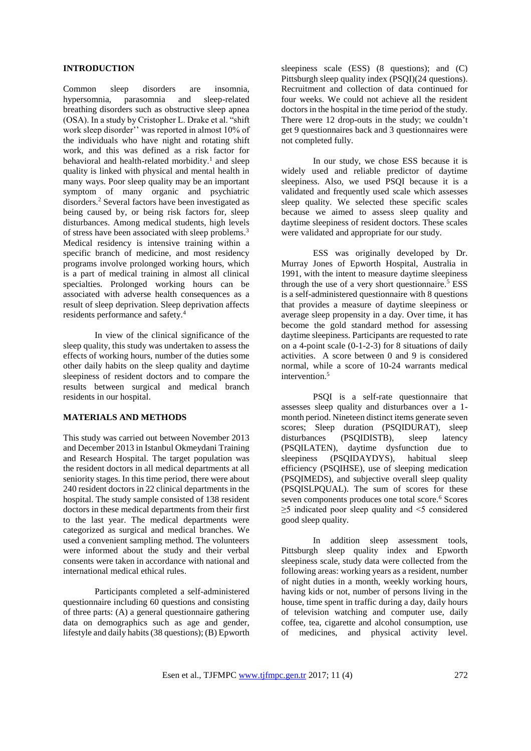#### **INTRODUCTION**

Common sleep disorders are insomnia,<br>hypersomnia, parasomnia and sleep-related hypersomnia, parasomnia and sleep-related breathing disorders such as obstructive sleep apnea (OSA). In a study by Cristopher L. Drake et al. "shift work sleep disorder'' was reported in almost 10% of the individuals who have night and rotating shift work, and this was defined as a risk factor for behavioral and health-related morbidity.<sup>1</sup> and sleep quality is linked with physical and mental health in many ways. Poor sleep quality may be an important symptom of many organic and psychiatric disorders.<sup>2</sup> Several factors have been investigated as being caused by, or being risk factors for, sleep disturbances. Among medical students, high levels of stress have been associated with sleep problems.<sup>3</sup> Medical residency is intensive training within a specific branch of medicine, and most residency programs involve prolonged working hours, which is a part of medical training in almost all clinical specialties. Prolonged working hours can be associated with adverse health consequences as a result of sleep deprivation. Sleep deprivation affects residents performance and safety.<sup>4</sup>

In view of the clinical significance of the sleep quality, this study was undertaken to assess the effects of working hours, number of the duties some other daily habits on the sleep quality and daytime sleepiness of resident doctors and to compare the results between surgical and medical branch residents in our hospital.

# **MATERIALS AND METHODS**

This study was carried out between November 2013 and December 2013 in Istanbul Okmeydani Training and Research Hospital. The target population was the resident doctors in all medical departments at all seniority stages. In this time period, there were about 240 resident doctors in 22 clinical departments in the hospital. The study sample consisted of 138 resident doctors in these medical departments from their first to the last year. The medical departments were categorized as surgical and medical branches. We used a convenient sampling method. The volunteers were informed about the study and their verbal consents were taken in accordance with national and international medical ethical rules.

Participants completed a self-administered questionnaire including 60 questions and consisting of three parts: (A) a general questionnaire gathering data on demographics such as age and gender, lifestyle and daily habits (38 questions); (B) Epworth

sleepiness scale (ESS) (8 questions); and (C) Pittsburgh sleep quality index (PSQI)(24 questions). Recruitment and collection of data continued for four weeks. We could not achieve all the resident doctors in the hospital in the time period of the study. There were 12 drop-outs in the study; we couldn't get 9 questionnaires back and 3 questionnaires were not completed fully.

In our study, we chose ESS because it is widely used and reliable predictor of daytime sleepiness. Also, we used PSQI because it is a validated and frequently used scale which assesses sleep quality. We selected these specific scales because we aimed to assess sleep quality and daytime sleepiness of resident doctors. These scales were validated and appropriate for our study.

ESS was originally developed by Dr. Murray Jones of Epworth Hospital, Australia in 1991, with the intent to measure daytime sleepiness through the use of a very short questionnaire.<sup>5</sup> ESS is a self-administered questionnaire with 8 questions that provides a measure of daytime sleepiness or average sleep propensity in a day. Over time, it has become the gold standard method for assessing daytime sleepiness. Participants are requested to rate on a 4-point scale (0-1-2-3) for 8 situations of daily activities. A score between 0 and 9 is considered normal, while a score of 10-24 warrants medical intervention.<sup>5</sup>

PSQI is a self-rate questionnaire that assesses sleep quality and disturbances over a 1 month period. Nineteen distinct items generate seven scores; Sleep duration (PSQIDURAT), sleep disturbances (PSQIDISTB), sleep latency (PSQILATEN), daytime dysfunction due to sleepiness (PSQIDAYDYS), habitual sleep efficiency (PSQIHSE), use of sleeping medication (PSQIMEDS), and subjective overall sleep quality (PSQISLPQUAL). The sum of scores for these seven components produces one total score.<sup>6</sup> Scores ≥5 indicated poor sleep quality and <5 considered good sleep quality.

In addition sleep assessment tools, Pittsburgh sleep quality index and Epworth sleepiness scale, study data were collected from the following areas: working years as a resident, number of night duties in a month, weekly working hours, having kids or not, number of persons living in the house, time spent in traffic during a day, daily hours of television watching and computer use, daily coffee, tea, cigarette and alcohol consumption, use of medicines, and physical activity level.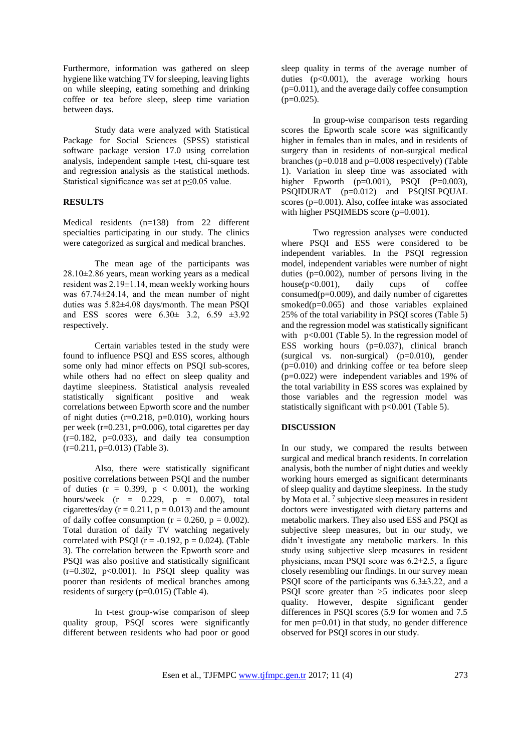Furthermore, information was gathered on sleep hygiene like watching TV for sleeping, leaving lights on while sleeping, eating something and drinking coffee or tea before sleep, sleep time variation between days.

Study data were analyzed with Statistical Package for Social Sciences (SPSS) statistical software package version 17.0 using correlation analysis, independent sample t-test, chi-square test and regression analysis as the statistical methods. Statistical significance was set at p≤0.05 value.

## **RESULTS**

Medical residents (n=138) from 22 different specialties participating in our study. The clinics were categorized as surgical and medical branches.

The mean age of the participants was 28.10±2.86 years, mean working years as a medical resident was 2.19±1.14, mean weekly working hours was 67.74±24.14, and the mean number of night duties was 5.82±4.08 days/month. The mean PSQI and ESS scores were 6.30± 3.2, 6.59 ±3.92 respectively.

Certain variables tested in the study were found to influence PSQI and ESS scores, although some only had minor effects on PSQI sub-scores, while others had no effect on sleep quality and daytime sleepiness. Statistical analysis revealed statistically significant positive and weak correlations between Epworth score and the number of night duties  $(r=0.218, p=0.010)$ , working hours per week ( $r=0.231$ ,  $p=0.006$ ), total cigarettes per day  $(r=0.182, p=0.033)$ , and daily tea consumption  $(r=0.211, p=0.013)$  (Table 3).

Also, there were statistically significant positive correlations between PSQI and the number of duties  $(r = 0.399, p < 0.001)$ , the working hours/week  $(r = 0.229, p = 0.007)$ , total cigarettes/day  $(r = 0.211, p = 0.013)$  and the amount of daily coffee consumption ( $r = 0.260$ ,  $p = 0.002$ ). Total duration of daily TV watching negatively correlated with PSQI ( $r = -0.192$ ,  $p = 0.024$ ). (Table 3). The correlation between the Epworth score and PSQI was also positive and statistically significant  $(r=0.302, p<0.001)$ . In PSQI sleep quality was poorer than residents of medical branches among residents of surgery (p=0.015) (Table 4).

In t-test group-wise comparison of sleep quality group, PSQI scores were significantly different between residents who had poor or good sleep quality in terms of the average number of duties  $(p<0.001)$ , the average working hours (p=0.011), and the average daily coffee consumption  $(p=0.025)$ .

In group-wise comparison tests regarding scores the Epworth scale score was significantly higher in females than in males, and in residents of surgery than in residents of non-surgical medical branches (p=0.018 and p=0.008 respectively) (Table 1). Variation in sleep time was associated with higher Epworth  $(p=0.001)$ , PSQI  $(P=0.003)$ , PSQIDURAT (p=0.012) and PSQISLPQUAL scores (p=0.001). Also, coffee intake was associated with higher PSQIMEDS score (p=0.001).

Two regression analyses were conducted where PSQI and ESS were considered to be independent variables. In the PSQI regression model, independent variables were number of night duties ( $p=0.002$ ), number of persons living in the house ( $p<0.001$ ), daily cups of coffee house( $p<0.001$ ), daily cups of consumed( $p=0.009$ ), and daily number of cigarettes smoked $(p=0.065)$  and those variables explained 25% of the total variability in PSQI scores (Table 5) and the regression model was statistically significant with  $p<0.001$  (Table 5). In the regression model of ESS working hours (p=0.037), clinical branch (surgical vs. non-surgical) (p=0.010), gender (p=0.010) and drinking coffee or tea before sleep (p=0.022) were independent variables and 19% of the total variability in ESS scores was explained by those variables and the regression model was statistically significant with p<0.001 (Table 5).

#### **DISCUSSION**

In our study, we compared the results between surgical and medical branch residents. In correlation analysis, both the number of night duties and weekly working hours emerged as significant determinants of sleep quality and daytime sleepiness. In the study by Mota et al.<sup>7</sup> subjective sleep measures in resident doctors were investigated with dietary patterns and metabolic markers. They also used ESS and PSQI as subjective sleep measures, but in our study, we didn't investigate any metabolic markers. In this study using subjective sleep measures in resident physicians, mean PSQI score was 6.2±2.5, a figure closely resembling our findings. In our survey mean PSQI score of the participants was 6.3±3.22, and a PSQI score greater than >5 indicates poor sleep quality. However, despite significant gender differences in PSQI scores (5.9 for women and 7.5 for men p=0.01) in that study, no gender difference observed for PSQI scores in our study.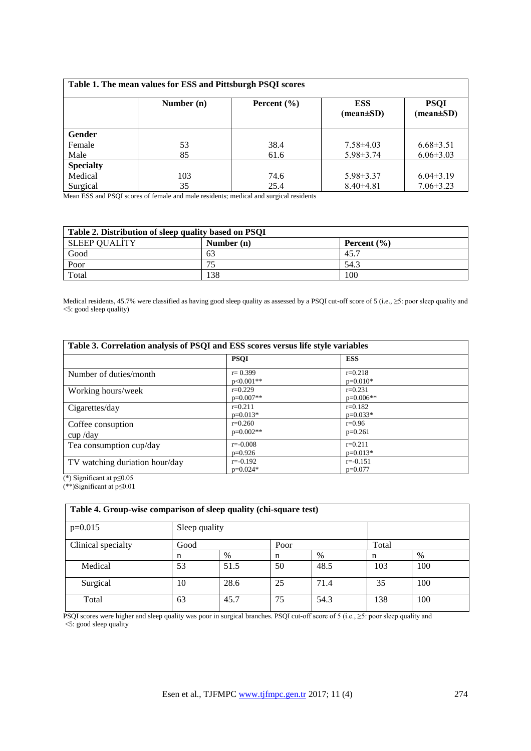| Table 1. The mean values for ESS and Pittsburgh PSQI scores |            |                 |                                             |                                              |  |
|-------------------------------------------------------------|------------|-----------------|---------------------------------------------|----------------------------------------------|--|
|                                                             | Number (n) | Percent $(\% )$ | <b>ESS</b><br>$(\text{mean} \pm \text{SD})$ | <b>PSQI</b><br>$(\text{mean} \pm \text{SD})$ |  |
| Gender                                                      |            |                 |                                             |                                              |  |
| Female                                                      | 53         | 38.4            | $7.58\pm4.03$                               | $6.68\pm3.51$                                |  |
| Male                                                        | 85         | 61.6            | $5.98 \pm 3.74$                             | $6.06 \pm 3.03$                              |  |
| <b>Specialty</b>                                            |            |                 |                                             |                                              |  |
| Medical                                                     | 103        | 74.6            | $5.98 \pm 3.37$                             | $6.04\pm3.19$                                |  |
| Surgical                                                    | 35         | 25.4            | $8.40\pm4.81$                               | $7.06 \pm 3.23$                              |  |

Mean ESS and PSQI scores of female and male residents; medical and surgical residents

| Table 2. Distribution of sleep quality based on PSQI |              |                 |  |  |
|------------------------------------------------------|--------------|-----------------|--|--|
| ' SLEEP QUALITY                                      | Number $(n)$ | Percent $(\% )$ |  |  |
| Good                                                 | 63           | 45.7            |  |  |
| Poor                                                 | 75           | 54.3            |  |  |
| Total                                                | 138          | 100             |  |  |

Medical residents, 45.7% were classified as having good sleep quality as assessed by a PSQI cut-off score of 5 (i.e., ≥5: poor sleep quality and <5: good sleep quality)

| Table 3. Correlation analysis of PSQI and ESS scores versus life style variables |                            |                           |  |
|----------------------------------------------------------------------------------|----------------------------|---------------------------|--|
|                                                                                  | <b>PSOI</b>                | <b>ESS</b>                |  |
| Number of duties/month                                                           | $r = 0.399$<br>$p<0.001**$ | $r=0.218$<br>$p=0.010*$   |  |
| Working hours/week                                                               | $r=0.229$<br>$p=0.007**$   | $r=0.231$<br>$p=0.006**$  |  |
| Cigarettes/day                                                                   | $r=0.211$<br>$p=0.013*$    | $r=0.182$<br>$p=0.033*$   |  |
| Coffee consuption<br>$cup$ /day                                                  | $r=0.260$<br>$p=0.002**$   | $r=0.96$<br>$p=0.261$     |  |
| Tea consumption cup/day                                                          | $r = -0.008$<br>$p=0.926$  | $r=0.211$<br>$p=0.013*$   |  |
| TV watching duriation hour/day                                                   | $r = -0.192$<br>$p=0.024*$ | $r = -0.151$<br>$p=0.077$ |  |

(\*) Significant at p≤0.05

(\*\*)Significant at p≤0.01

| Table 4. Group-wise comparison of sleep quality (chi-square test) |      |               |    |      |       |     |
|-------------------------------------------------------------------|------|---------------|----|------|-------|-----|
| $p=0.015$                                                         |      | Sleep quality |    |      |       |     |
| Clinical specialty                                                | Good | Poor          |    |      | Total |     |
|                                                                   | n    | $\%$          | n  | $\%$ | n     | %   |
| Medical                                                           | 53   | 51.5          | 50 | 48.5 | 103   | 100 |
| Surgical                                                          | 10   | 28.6          | 25 | 71.4 | 35    | 100 |
| Total                                                             | 63   | 45.7          | 75 | 54.3 | 138   | 100 |

PSQI scores were higher and sleep quality was poor in surgical branches. PSQI cut-off score of 5 (i.e., ≥5: poor sleep quality and <5: good sleep quality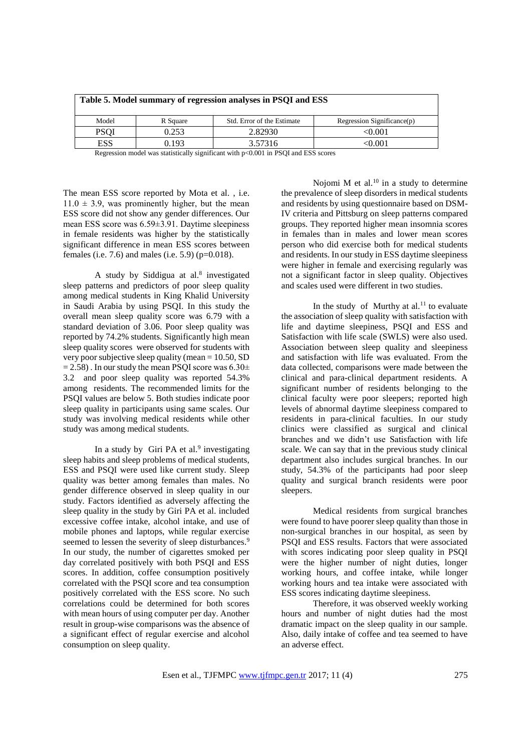| Table 5. Model summary of regression analyses in PSQI and ESS                      |          |                            |                            |  |  |
|------------------------------------------------------------------------------------|----------|----------------------------|----------------------------|--|--|
| Model                                                                              | R Square | Std. Error of the Estimate | Regression Significance(p) |  |  |
| <b>PSOI</b>                                                                        | 0.253    | 2.82930                    | $<\!\!0.001$               |  |  |
| <b>ESS</b>                                                                         | 0.193    | 3.57316                    | <0.001                     |  |  |
| Regression model was statistically significant with p<0.001 in PSOI and ESS scores |          |                            |                            |  |  |

The mean ESS score reported by Mota et al. , i.e.  $11.0 \pm 3.9$ , was prominently higher, but the mean ESS score did not show any gender differences. Our mean ESS score was 6.59±3.91. Daytime sleepiness in female residents was higher by the statistically significant difference in mean ESS scores between

females (i.e.  $7.6$ ) and males (i.e.  $5.9$ ) ( $p=0.018$ ).

A study by Siddigua at al.<sup>8</sup> investigated sleep patterns and predictors of poor sleep quality among medical students in King Khalid University in Saudi Arabia by using PSQI. In this study the overall mean sleep quality score was 6.79 with a standard deviation of 3.06. Poor sleep quality was reported by 74.2% students. Significantly high mean sleep quality scores were observed for students with very poor subjective sleep quality (mean = 10.50, SD  $= 2.58$ ). In our study the mean PSQI score was  $6.30 \pm 1.5$ 3.2 and poor sleep quality was reported 54.3% among residents. The recommended limits for the PSQI values are below 5. Both studies indicate poor sleep quality in participants using same scales. Our study was involving medical residents while other study was among medical students.

In a study by Giri PA et al.<sup>9</sup> investigating sleep habits and sleep problems of medical students, ESS and PSQI were used like current study. Sleep quality was better among females than males. No gender difference observed in sleep quality in our study. Factors identified as adversely affecting the sleep quality in the study by Giri PA et al. included excessive coffee intake, alcohol intake, and use of mobile phones and laptops, while regular exercise seemed to lessen the severity of sleep disturbances.<sup>9</sup> In our study, the number of cigarettes smoked per day correlated positively with both PSQI and ESS scores. In addition, coffee consumption positively correlated with the PSQI score and tea consumption positively correlated with the ESS score. No such correlations could be determined for both scores with mean hours of using computer per day. Another result in group-wise comparisons was the absence of a significant effect of regular exercise and alcohol consumption on sleep quality.

Nojomi  $M$  et al.<sup>10</sup> in a study to determine the prevalence of sleep disorders in medical students and residents by using questionnaire based on DSM-IV criteria and Pittsburg on sleep patterns compared groups. They reported higher mean insomnia scores in females than in males and lower mean scores person who did exercise both for medical students and residents. In our study in ESS daytime sleepiness were higher in female and exercising regularly was not a significant factor in sleep quality. Objectives and scales used were different in two studies.

In the study of Murthy at al. $^{11}$  to evaluate the association of sleep quality with satisfaction with life and daytime sleepiness, PSQI and ESS and Satisfaction with life scale (SWLS) were also used. Association between sleep quality and sleepiness and satisfaction with life was evaluated. From the data collected, comparisons were made between the clinical and para-clinical department residents. A significant number of residents belonging to the clinical faculty were poor sleepers; reported high levels of abnormal daytime sleepiness compared to residents in para-clinical faculties. In our study clinics were classified as surgical and clinical branches and we didn't use Satisfaction with life scale. We can say that in the previous study clinical department also includes surgical branches. In our study, 54.3% of the participants had poor sleep quality and surgical branch residents were poor sleepers.

Medical residents from surgical branches were found to have poorer sleep quality than those in non-surgical branches in our hospital, as seen by PSQI and ESS results. Factors that were associated with scores indicating poor sleep quality in PSQI were the higher number of night duties, longer working hours, and coffee intake, while longer working hours and tea intake were associated with ESS scores indicating daytime sleepiness.

Therefore, it was observed weekly working hours and number of night duties had the most dramatic impact on the sleep quality in our sample. Also, daily intake of coffee and tea seemed to have an adverse effect.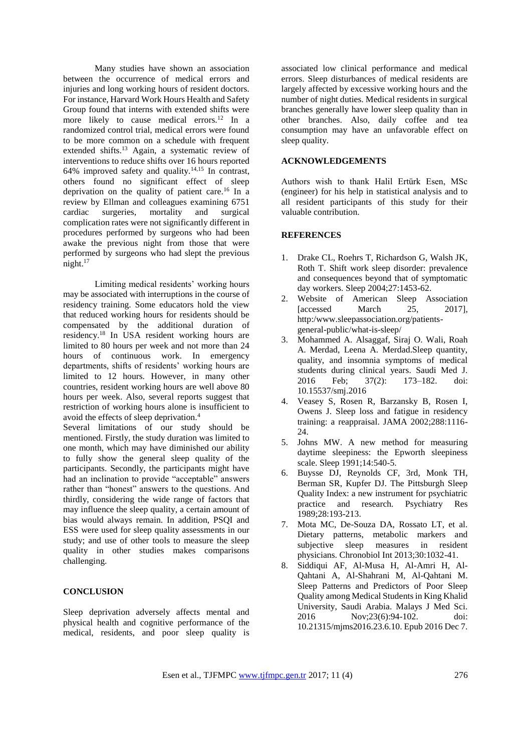Many studies have shown an association between the occurrence of medical errors and injuries and long working hours of resident doctors. For instance, Harvard Work Hours Health and Safety Group found that interns with extended shifts were more likely to cause medical errors.<sup>12</sup> In a randomized control trial, medical errors were found to be more common on a schedule with frequent extended shifts.<sup>13</sup> Again, a systematic review of interventions to reduce shifts over 16 hours reported 64% improved safety and quality.<sup>14,15</sup> In contrast, others found no significant effect of sleep deprivation on the quality of patient care.<sup>16</sup> In a review by Ellman and colleagues examining 6751 cardiac surgeries, mortality and surgical complication rates were not significantly different in procedures performed by surgeons who had been awake the previous night from those that were performed by surgeons who had slept the previous night.<sup>17</sup>

Limiting medical residents' working hours may be associated with interruptions in the course of residency training. Some educators hold the view that reduced working hours for residents should be compensated by the additional duration of residency.<sup>18</sup> In USA resident working hours are limited to 80 hours per week and not more than 24 hours of continuous work. In emergency departments, shifts of residents' working hours are limited to 12 hours. However, in many other countries, resident working hours are well above 80 hours per week. Also, several reports suggest that restriction of working hours alone is insufficient to avoid the effects of sleep deprivation.<sup>4</sup>

Several limitations of our study should be mentioned. Firstly, the study duration was limited to one month, which may have diminished our ability to fully show the general sleep quality of the participants. Secondly, the participants might have had an inclination to provide "acceptable" answers rather than "honest" answers to the questions. And thirdly, considering the wide range of factors that may influence the sleep quality, a certain amount of bias would always remain. In addition, PSQI and ESS were used for sleep quality assessments in our study; and use of other tools to measure the sleep quality in other studies makes comparisons challenging.

## **CONCLUSION**

Sleep deprivation adversely affects mental and physical health and cognitive performance of the medical, residents, and poor sleep quality is

associated low clinical performance and medical errors. Sleep disturbances of medical residents are largely affected by excessive working hours and the number of night duties. Medical residents in surgical branches generally have lower sleep quality than in other branches. Also, daily coffee and tea consumption may have an unfavorable effect on sleep quality.

## **ACKNOWLEDGEMENTS**

Authors wish to thank Halil Ertürk Esen, MSc (engineer) for his help in statistical analysis and to all resident participants of this study for their valuable contribution.

#### **REFERENCES**

- 1. Drake CL, Roehrs T, Richardson G, Walsh JK, Roth T. Shift work sleep disorder: prevalence and consequences beyond that of symptomatic day workers. Sleep 2004;27:1453-62.
- 2. Website of American Sleep Association<br>
[accessed March 25, 2017]. [accessed March 25, 2017], http:/www.sleepassociation.org/patientsgeneral-public/what-is-sleep/
- 3. Mohammed A. Alsaggaf, Siraj O. Wali, Roah A. Merdad, Leena A. Merdad.Sleep quantity, quality, and insomnia symptoms of medical students during clinical years. Saudi Med J. 2016 Feb; 37(2): 173–182. doi: 10.15537/smj.2016
- 4. Veasey S, Rosen R, Barzansky B, Rosen I, Owens J. Sleep loss and fatigue in residency training: a reappraisal. JAMA 2002;288:1116- 24.
- 5. Johns MW. A new method for measuring daytime sleepiness: the Epworth sleepiness scale. Sleep 1991;14:540-5.
- 6. Buysse DJ, Reynolds CF, 3rd, Monk TH, Berman SR, Kupfer DJ. The Pittsburgh Sleep Quality Index: a new instrument for psychiatric practice and research. Psychiatry Res 1989;28:193-213.
- 7. Mota MC, De-Souza DA, Rossato LT, et al. Dietary patterns, metabolic markers and subjective sleep measures in resident physicians. Chronobiol Int 2013;30:1032-41.
- 8. Siddiqui AF, Al-Musa H, Al-Amri H, Al-Qahtani A, Al-Shahrani M, Al-Qahtani M. Sleep Patterns and Predictors of Poor Sleep Quality among Medical Students in King Khalid University, Saudi Arabia. Malays J Med Sci. 2016 Nov;23(6):94-102. doi: 10.21315/mjms2016.23.6.10. Epub 2016 Dec 7.